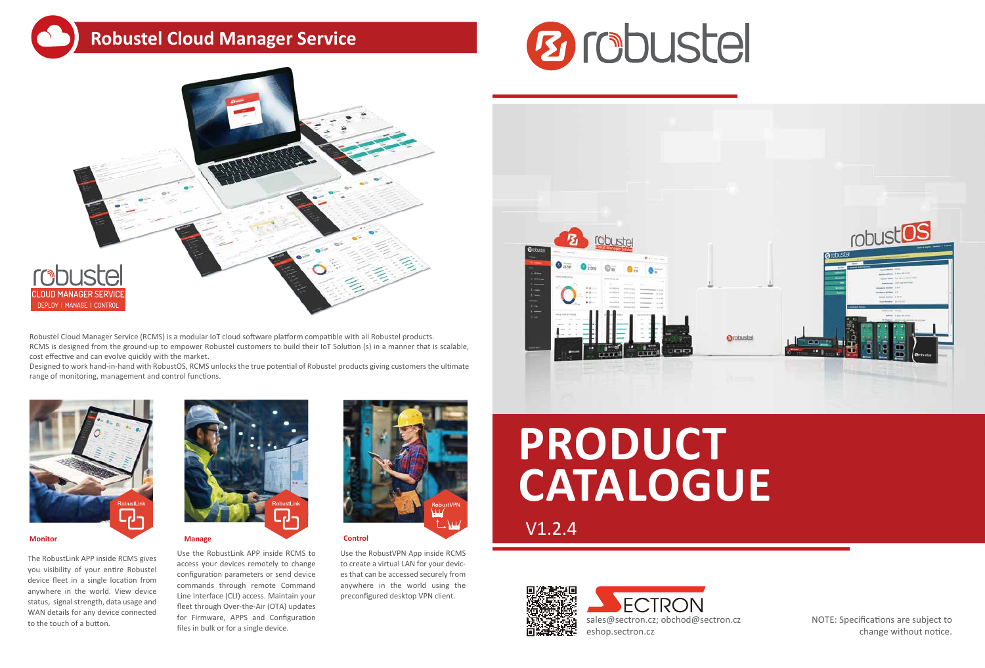## **Robustel Cloud Manager Service**





Robustel Cloud Manager Service (RCMS) is a modular IoT cloud software platform compatible with all Robustel products. RCMS is designed from the ground-up to empower Robustel customers to build their IoT Solution (s) in a manner that is scalable, cost effective and can evolve quickly with the market.

Designed to work hand-in-hand with RobustOS, RCMS unlocks the true potential of Robustel products giving customers the ultimate range of monitoring, management and control functions.



The RobustLink APP inside RCMS gives you visibility of your entire Robustel device fleet in a single location from anywhere in the world. View device status, signal strength, data usage and WAN details for any device connected to the touch of a button.



Use the RobustLink APP inside RCMS to access your devices remotely to change configuration parameters or send device commands through remote Command Line Interface (CLI) access. Maintain your fleet through Over-the-Air (OTA) updates for Firmware, APPS and Configuration files in bulk or for a single device.



Use the RobustVPN App inside RCMS to create a virtual LAN for your devices that can be accessed securely from anywhere in the world using the preconfigured desktop VPN client.





NOTE: Specifications are subject to change without notice.

**PRODUCT CATALOGUE**

V1.2.4

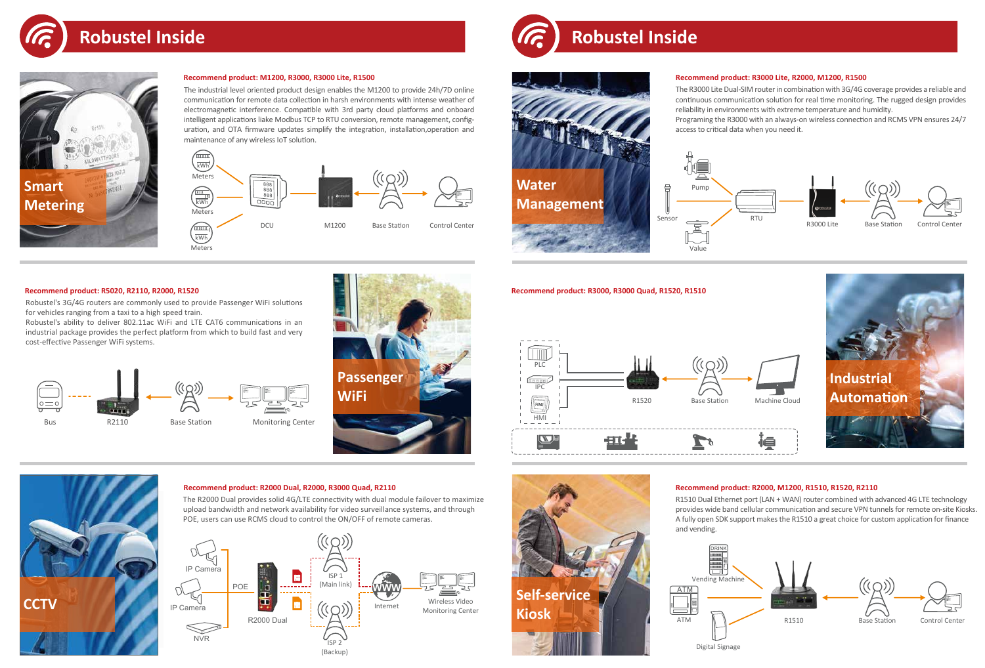## **Recommend product: M1200, R3000, R3000 Lite, R1500**

## **Recommend product: R5020, R2110, R2000, R1520**

### **Recommend product: R2000 Dual, R2000, R3000 Quad, R2110**











# **Robustel Inside**

Robustel's 3G/4G routers are commonly used to provide Passenger WiFi solutions for vehicles ranging from a taxi to a high speed train.

Robustel's ability to deliver 802.11ac WiFi and LTE CAT6 communications in an industrial package provides the perfect platform from which to build fast and very cost-effective Passenger WiFi systems.



## **Recommend product: R2000, M1200, R1510, R1520, R2110**



The R2000 Dual provides solid 4G/LTE connectivity with dual module failover to maximize upload bandwidth and network availability for video surveillance systems, and through POE, users can use RCMS cloud to control the ON/OFF of remote cameras.





The industrial level oriented product design enables the M1200 to provide 24h/7D online communication for remote data collection in harsh environments with intense weather of electromagnetic interference. Compatible with 3rd party cloud platforms and onboard intelligent applications liake Modbus TCP to RTU conversion, remote management, configuration, and OTA firmware updates simplify the integration, installation,operation and maintenance of any wireless IoT solution.



R1510 Dual Ethernet port (LAN + WAN) router combined with advanced 4G LTE technology provides wide band cellular communication and secure VPN tunnels for remote on-site Kiosks. A fully open SDK support makes the R1510 a great choice for custom application for finance and vending.

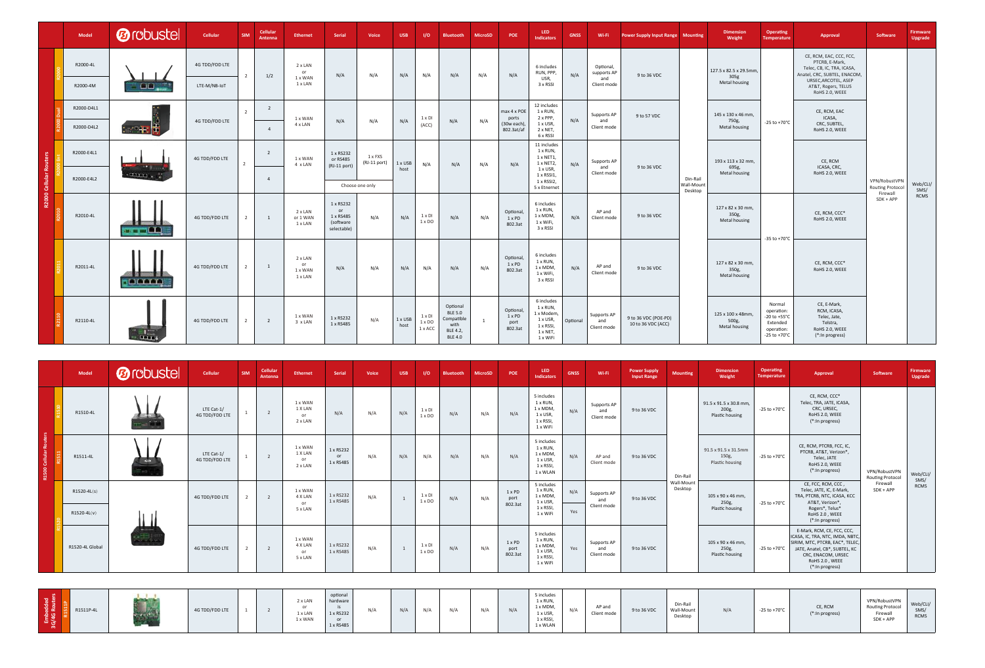|                | Model                    | <b><i><u></u></i></b> robustel | Cellular                       | <b>SIM</b>     | Cellular<br>Antenna              | <b>Ethernet</b>                     | <b>Serial</b>                                            | Voice                   | <b>USB</b>      | I/O                                | <b>Bluetooth</b>                                                               | <b>MicroSD</b> | POE                                              | LED.<br><b>Indicators</b>                                                                    | <b>GNSS</b> | Wi-Fi                                          | <b>Power Supply Input Range Mounting</b>   |                                   | <b>Dimension</b><br>Weight                     | Operating<br><b>Temperature</b>                                                                       | Approval                                                                                                                                                                 | <b>Software</b>                                      | <b>Firmware</b><br><b>Upgrade</b> |
|----------------|--------------------------|--------------------------------|--------------------------------|----------------|----------------------------------|-------------------------------------|----------------------------------------------------------|-------------------------|-----------------|------------------------------------|--------------------------------------------------------------------------------|----------------|--------------------------------------------------|----------------------------------------------------------------------------------------------|-------------|------------------------------------------------|--------------------------------------------|-----------------------------------|------------------------------------------------|-------------------------------------------------------------------------------------------------------|--------------------------------------------------------------------------------------------------------------------------------------------------------------------------|------------------------------------------------------|-----------------------------------|
|                | R2000-4L<br>R2000-4M     | 00.                            | 4G TDD/FDD LTE<br>LTE-M/NB-IoT |                | 1/2                              | 2 x LAN<br>or<br>1 x WAN<br>1 x LAN | N/A                                                      | N/A                     | N/A             | N/A                                | N/A                                                                            | N/A            | N/A                                              | 6 includes<br>RUN, PPP,<br>USR,<br>3 x RSSI                                                  | N/A         | Optional,<br>supports AP<br>and<br>Client mode | 9 to 36 VDC                                |                                   | 127.5 x 82.5 x 29.5mm<br>305g<br>Metal housing |                                                                                                       | CE, RCM, EAC, CCC, FCC,<br>PTCRB, E-Mark,<br>Telec, CB, IC, TRA, ICASA,<br>Anatel, CRC, SUBTEL, ENACOM,<br>URSEC, ARCOTEL, ASEP<br>AT&T, Rogers, TELUS<br>RoHS 2.0, WEEE |                                                      |                                   |
|                | R2000-D4L1<br>R2000-D4L2 | 化硼黄                            | 4G TDD/FDD LTE                 |                | $\overline{2}$<br>$\overline{4}$ | 1 x WAN<br>4 x LAN                  | N/A                                                      | N/A                     | N/A             | $1 \times DI$<br>(ACC)             | N/A                                                                            | N/A            | max 4 x POE<br>ports<br>(30w each)<br>802.3at/af | 12 includes<br>1 x RUN,<br>2 x PPP,<br>1 x USR,<br>2 x NET,<br>6 x RSSI                      | N/A         | Supports AP<br>and<br>Client mode              | 9 to 57 VDC                                |                                   | 145 x 130 x 46 mm,<br>750g,<br>Metal housing   | $-25$ to $+70^{\circ}$ C                                                                              | CE, RCM, EAC<br>ICASA,<br>CRC, SUBTEL,<br>RoHS 2.0, WEEE                                                                                                                 |                                                      |                                   |
| ះ<br><b>Ro</b> | R2000-E4L1               | $-14.7$<br><b>HALL</b>         | 4G TDD/FDD LTE                 |                | $\overline{2}$                   | 1 x WAN<br>4 x LAN                  | 1 x RS232<br>or RS485<br>(RJ-11 port)                    | 1 x FXS<br>(RJ-11 port) | 1 x USB<br>host | N/A                                | N/A                                                                            | N/A            | N/A                                              | 11 includes<br>1 x RUN,<br>1 x NET1,<br>1 x NET2,<br>1 x USR,<br>$1 \times$ RSSI1,           | N/A         | Supports AP<br>and<br>Client mode              | 9 to 36 VDC                                |                                   | 193 x 113 x 32 mm,<br>695g,<br>Metal housing   |                                                                                                       | CE, RCM<br>ICASA, CRC,<br>RoHS 2.0, WEEE                                                                                                                                 |                                                      |                                   |
| R2000 Cellular | R2000-E4L2               |                                |                                |                | $\overline{4}$                   |                                     |                                                          | Choose one only         |                 |                                    |                                                                                |                |                                                  | 1 x RSSI2,<br>5 x Etnernet                                                                   |             |                                                |                                            | Din-Rail<br>Wall-Mount<br>Desktop |                                                |                                                                                                       |                                                                                                                                                                          | VPN/RobustVPN<br><b>Routing Protocol</b><br>Firewall | Web/CLI/<br>SMS/                  |
|                | R2010-4L                 | as a m OA                      | 4G TDD/FDD LTE                 | $\overline{2}$ | $\overline{1}$                   | 2 x LAN<br>or 1 WAN<br>1 x LAN      | 1 x RS232<br>or<br>1 x RS485<br>(software<br>selectable) | N/A                     | N/A             | $1 \times DI$<br>$1 \times DO$     | N/A                                                                            | N/A            | Optional,<br>1 x PD<br>802.3at                   | 6 includes<br>1 x RUN,<br>1 x MDM,<br>1 x WiFi,<br>3 x RSSI                                  | N/A         | AP and<br>Client mode                          | 9 to 36 VDC                                |                                   | 127 x 82 x 30 mm,<br>350g,<br>Metal housing    | -35 to +70 $^{\circ}$ C                                                                               | CE, RCM, CCC*<br>RoHS 2.0, WEEE                                                                                                                                          | $SDK + APP$                                          | RCMS                              |
|                | R2011-4L                 | <b>IN DETAIL</b>               | 4G TDD/FDD LTE                 | $\overline{2}$ | 1                                | 2 x LAN<br>or<br>1 x WAN<br>1 x LAN | N/A                                                      | N/A                     | N/A             | N/A                                | N/A                                                                            | N/A            | Optional,<br>1 x PD<br>802.3at                   | 6 includes<br>1 x RUN,<br>1 x MDM,<br>1 x WiFi,<br>3 x RSSI                                  | N/A         | AP and<br>Client mode                          | 9 to 36 VDC                                |                                   | 127 x 82 x 30 mm,<br>350g,<br>Metal housing    |                                                                                                       | CE, RCM, CCC*<br>RoHS 2.0, WEEE                                                                                                                                          |                                                      |                                   |
|                | R2110-4L                 | $\frac{1}{2}$                  | 4G TDD/FDD LTE                 | $\overline{2}$ | $\overline{2}$                   | 1 x WAN<br>3 x LAN                  | 1 x RS232<br>1 x RS485                                   | N/A                     | 1 x USB<br>host | 1 x DI<br>$1 \times DO$<br>1 x ACC | Optional<br><b>BLE 5.0</b><br>Compatible<br>with<br>BLE 4.2,<br><b>BLE 4.0</b> | 1              | Optional,<br>1 x PD<br>port<br>802.3at           | 6 includes<br>1 x RUN,<br>1 x Modem,<br>1 x USR,<br>1 x RSSI,<br>$1 \times$ NET,<br>1 x WiFi | Optional    | Supports AP<br>and<br>Client mode              | 9 to 36 VDC (POE-PD)<br>10 to 36 VDC (ACC) |                                   | 125 x 100 x 48mm,<br>500g,<br>Metal housing    | Normal<br>operation:<br>$-20$ to $+55^{\circ}$ C<br>Extended<br>operation:<br>-25 to +70 $^{\circ}$ C | CE, E-Mark,<br>RCM, ICASA,<br>Telec, Jate,<br>Telstra,<br>RoHS 2.0, WEEE<br>(*: In progress)                                                                             |                                                      |                                   |

|                  | Model                            | <b>Ø</b> robustel | Cellular                     | <b>SIM</b>     | Cellular<br><b>Antenna</b> | <b>Ethernet</b>                     | Serial                          | Voice | <b>USB</b>     | 1/O                            | <b>Bluetooth</b> | <b>MicroSD</b> | POE                       | LED.<br>Indicators                                                      | <b>GNSS</b> | Wi-Fi                             | <b>Power Supply</b><br><b>Input Range</b> | <b>Mounting</b>        | <b>Dimension</b><br>Weight                         | Operating<br>Temperature | Approval                                                                                                                                                                                      | Software                                                        | Firmware<br>Upgrade |
|------------------|----------------------------------|-------------------|------------------------------|----------------|----------------------------|-------------------------------------|---------------------------------|-------|----------------|--------------------------------|------------------|----------------|---------------------------|-------------------------------------------------------------------------|-------------|-----------------------------------|-------------------------------------------|------------------------|----------------------------------------------------|--------------------------|-----------------------------------------------------------------------------------------------------------------------------------------------------------------------------------------------|-----------------------------------------------------------------|---------------------|
|                  | R1510-4L                         |                   | LTE Cat-1/<br>4G TDD/FDD LTE |                | $\overline{2}$             | 1 x WAN<br>1 X LAN<br>or<br>2 x LAN | N/A                             | N/A   | N/A            | 1 x DI<br>$1 \times$ DO        | N/A              | N/A            | N/A                       | 5 includes<br>1 x RUN,<br>1 x MDM,<br>1 x USR,<br>1 x RSSI,<br>1 x WiFi | N/A         | Supports AP<br>and<br>Client mode | 9 to 36 VDC                               |                        | 91.5 x 91.5 x 30.8 mm,<br>200g,<br>Plastic housing | $-25$ to $+70^{\circ}$ C | CE, RCM, CCC*<br>Telec, TRA, JATE, ICASA,<br>CRC, URSEC,<br>RoHS 2.0, WEEE<br>(*: In progress)                                                                                                |                                                                 |                     |
| R1500 Cell       | R1511-4L                         | <b>AGS</b>        | LTE Cat-1/<br>4G TDD/FDD LTE |                | $\overline{2}$             | 1 x WAN<br>1 X LAN<br>or<br>2 x LAN | 1 x RS232<br>or<br>1 x RS485    | N/A   | N/A            | N/A                            | N/A              | N/A            | N/A                       | 5 includes<br>1 x RUN,<br>1 x MDM,<br>1 x USR,<br>1 x RSSI,<br>1 x WLAN | N/A         | AP and<br>Client mode             | 9 to 36 VDC                               | Din-Rail               | 91.5 x 91.5 x 31.5mm<br>150g,<br>Plastic housing   | -25 to +70 $^{\circ}$ C  | CE, RCM, PTCRB, FCC, IC,<br>PTCRB, AT&T, Verizon*<br>Telec, JATE<br>RoHS 2.0, WEEE<br>(*: In progress)                                                                                        | VPN/RobustVPN<br><b>Routing Protocol</b>                        | Web/CLI/            |
|                  | $R1520 - 4L(s)$<br>$R1520-4L(v)$ |                   | 4G TDD/FDD LTE               | $\overline{2}$ | $\overline{2}$             | 1 x WAN<br>4 X LAN<br>or<br>5 x LAN | 1 x RS232<br>1 x RS485          | N/A   | $\overline{1}$ | $1 \times DI$<br>$1 \times$ DO | N/A              | N/A            | 1 x PD<br>port<br>802.3at | 5 includes<br>1 x RUN,<br>1 x MDM,<br>1 x USR,<br>1 x RSSI,<br>1 x WiFi | N/A<br>Yes  | Supports AP<br>and<br>Client mode | 9 to 36 VDC                               | Wall-Mount<br>Desktop  | 105 x 90 x 46 mm,<br>250g,<br>Plastic housing      | -25 to +70 $^{\circ}$ C  | CE, FCC, RCM, CCC,<br>Telec, JATE, IC, E-Mark,<br>TRA, PTCRB, NTC, ICASA, KCC<br>AT&T, Verizon*<br>Rogers*, Telus*<br>RoHS 2.0, WEEE<br>(*: In progress)                                      | Firewall<br>$SDK + APP$                                         | SMS/<br>RCMS        |
|                  | R1520-4L Global                  |                   | 4G TDD/FDD LTE               | $\overline{2}$ | $\overline{2}$             | 1 x WAN<br>4 X LAN<br>or<br>5 x LAN | 1 x RS232<br>1 x RS485          | N/A   |                | 1 x DI<br>$1 \times$ DO        | N/A              | N/A            | 1 x PD<br>port<br>802.3at | 5 includes<br>1 x RUN,<br>1 x MDM,<br>1 x USR,<br>1 x RSSI,<br>1 x WiFi | Yes         | Supports AP<br>and<br>Client mode | 9 to 36 VDC                               |                        | 105 x 90 x 46 mm,<br>250g,<br>Plastic housing      | -25 to +70 $^{\circ}$ C  | E-Mark, RCM, CE, FCC, CCC,<br>ICASA, IC, TRA, NTC, IMDA, NBTC,<br>SIRIM, MTC, PTCRB, EAC*, TELEC<br>JATE, Anatel, CB*, SUBTEL, KC<br>CRC, ENACOM, URSEC<br>RoHS 2.0, WEEE<br>(*: In progress) |                                                                 |                     |
|                  |                                  |                   |                              |                |                            |                                     |                                 |       |                |                                |                  |                |                           |                                                                         |             |                                   |                                           |                        |                                                    |                          |                                                                                                                                                                                               |                                                                 |                     |
| edded<br>Routers | ١ā<br>R1511P-4L                  |                   | 4G TDD/FDD LTE               |                | $\overline{2}$             | 2 x LAN<br>or<br>$A = 1 A A1$       | optional<br>hardware<br>1.00000 | N/A   | N/A            | N/A                            | N/A              | N/A            | N/A                       | 5 includes<br>1 x RUN,<br>1 x MDM,<br>4.1100                            | N/A         | AP and<br>elta extraora al al-    | 9 to 36 VDC                               | Din-Rail<br>Wall-Mount | N/A                                                | -25 to +70 $^{\circ}$ C  | CE, RCM<br>$4 + 1 = 2 + 2 = 3$                                                                                                                                                                | VPN/RobustVPN<br><b>Routing Protocol</b><br><b>Character II</b> | Web/CLI/<br>SMS/    |

|                           | R1520-4L GIODAI |                 | 4G TDD/FDD LTE |  | .<br>or<br>5 x LAN                  | 1 x RS485                                                   | <b>N/A</b> |     | <b>INDI</b><br>$1 \times DO$ | N/A | N/A | port<br>802.3at | $\pm$ $\land$ $\cdot\cdot\cdot$ $\cdot\cdot\cdot$ $\cdot\cdot$<br>1 x USR,<br>1 x RSSI,<br>1 x WiFi | Yes | and<br>Client mode    | 9 to 36 VDC |                                   | 250g,<br>Plastic housing |                         | -25 to +70°C   JATE, Anatel, CB*, SUBTEL, KC  <br>CRC, ENACOM, URSEC<br>RoHS 2.0, WEEE<br>(*: In progress) |                                                                     |                                 |
|---------------------------|-----------------|-----------------|----------------|--|-------------------------------------|-------------------------------------------------------------|------------|-----|------------------------------|-----|-----|-----------------|-----------------------------------------------------------------------------------------------------|-----|-----------------------|-------------|-----------------------------------|--------------------------|-------------------------|------------------------------------------------------------------------------------------------------------|---------------------------------------------------------------------|---------------------------------|
| Embedded<br>3G/4G Routers | R1511P-4L       | <b>Contract</b> | 4G TDD/FDD LTE |  | 2 x LAN<br>or<br>1 x LAN<br>1 x WAN | optional<br>hardware<br>1 x RS232<br><b>or</b><br>1 x RS485 | N/A        | N/A | N/A                          | N/A | N/A | N/A             | 5 includes<br>1 x RUN,<br>1 x MDM,<br>1 x USR,<br>1 x RSSI,<br>1 x WLAN                             | N/A | AP and<br>Client mode | 9 to 36 VDC | Din-Rail<br>Wall-Mount<br>Desktop | N/A                      | -25 to +70 $^{\circ}$ C | CE, RCM<br>(*: In progress)                                                                                | VPN/RobustVPN<br><b>Routing Protocol</b><br>Firewall<br>$SDK + APF$ | Web/CLI,<br>SMS/<br><b>RCMS</b> |